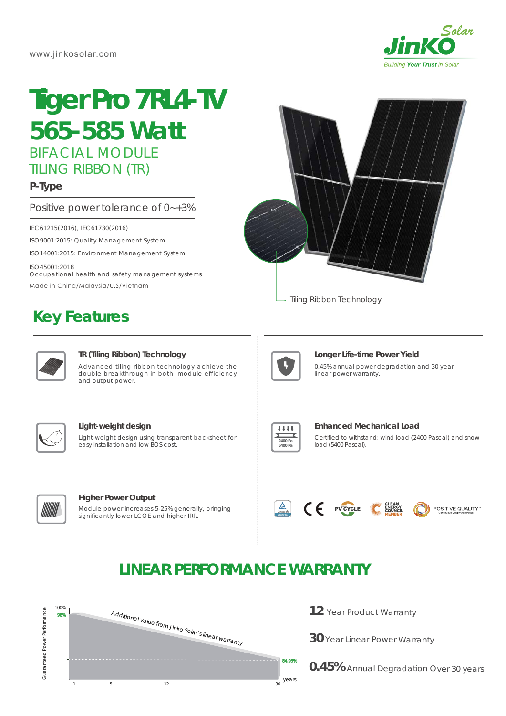

# BIFACIAL MODULE TILING RIBBON (TR) **Tiger Pro 7RL4-TV** *565-585 Watt*

### **P-Type**

### Positive power tolerance of 0~+3%

IEC61215(2016), IEC61730(2016)

ISO9001:2015: Quality Management System

ISO14001:2015: Environment Management System

ISO45001:2018

Occupational health and safety management systems Made in China/Malaysia/U.S/Vietnam

**TR (Tiling Ribbon) Technology**

# **Key Features**



#### **Longer Life-time Power Yield**

0.45% annual power degradation and 30 year linear power warranty.



#### **Light-weight design**

and output power.

Light-weight design using transparent backsheet for easy installation and low BOS cost.

Advanced tiling ribbon technology achieve the double breakthrough in both module efficiency



#### Certified to withstand: wind load (2400 Pascal) and snow load (5400 Pascal). **Enhanced Mechanical Load**



#### **Higher Power Output**

Module power increases 5-25% generally, bringing significantly lower LCOE and higher IRR.



# **LINEAR PERFORMANCE WARRANTY**



- 12 Year Product Warranty
- **30** Year Linear Power Warranty
- **0.45%** Annual Degradation Over 30 years